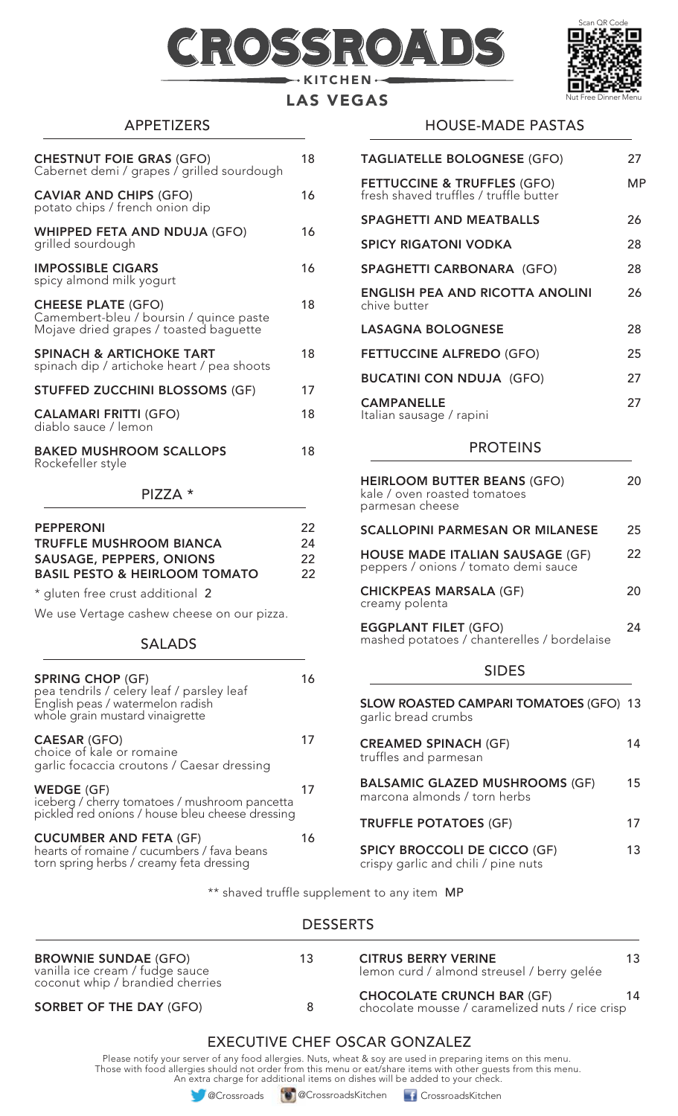# 105 KITCHEN ·



# LAS VEGAS

# APPETIZERS

| <b>CHESTNUT FOIE GRAS (GFO)</b><br>Cabernet demi / grapes / grilled sourdough                                  | 18 |
|----------------------------------------------------------------------------------------------------------------|----|
| <b>CAVIAR AND CHIPS (GFO)</b><br>potato chips / french onion dip                                               | 16 |
| <b>WHIPPED FETA AND NDUJA (GFO)</b><br>grilled sourdough                                                       | 16 |
| <b>IMPOSSIBLE CIGARS</b><br>spicy almond milk yogurt                                                           | 16 |
| <b>CHEESE PLATE (GFO)</b><br>Camembert-bleu / boursin / quince paste<br>Mojave dried grapes / toasted baguette | 18 |
| <b>SPINACH &amp; ARTICHOKE TART</b><br>spinach dip / artichoke heart / pea shoots                              | 18 |
| <b>STUFFED ZUCCHINI BLOSSOMS (GF)</b>                                                                          | 17 |
| <b>CALAMARI FRITTI (GFO)</b><br>diablo sauce / lemon                                                           | 18 |
| <b>BAKED MUSHROOM SCALLOPS</b><br>Rockefeller style                                                            | 18 |

#### PIZZA \*

| <b>PEPPERONI</b><br><b>TRUFFLE MUSHROOM BIANCA</b><br><b>SAUSAGE, PEPPERS, ONIONS</b><br><b>BASIL PESTO &amp; HEIRLOOM TOMATO</b>           | 22<br>24<br>22<br>22 |
|---------------------------------------------------------------------------------------------------------------------------------------------|----------------------|
| * gluten free crust additional 2                                                                                                            |                      |
| We use Vertage cashew cheese on our pizza.                                                                                                  |                      |
| <b>SALADS</b>                                                                                                                               |                      |
| <b>SPRING CHOP (GF)</b><br>pea tendrils / celery leaf / parsley leaf<br>English peas / watermelon radish<br>whole grain mustard vinaigrette | 16                   |
| <b>CAESAR (GFO)</b>                                                                                                                         |                      |

## choice of kale or romaine garlic focaccia croutons / Caesar dressing  $WEDGE (GF)$  17 iceberg / cherry tomatoes / mushroom pancetta pickled red onions / house bleu cheese dressing

#### CUCUMBER AND FETA (GF) 16 hearts of romaine / cucumbers / fava beans torn spring herbs / creamy feta dressing

### HOUSE-MADE PASTAS

| <b>TAGLIATELLE BOLOGNESE (GFO)</b>                                               | 27 |
|----------------------------------------------------------------------------------|----|
| <b>FETTUCCINE &amp; TRUFFLES (GFO)</b><br>fresh shaved truffles / truffle butter | МP |
| <b>SPAGHETTI AND MEATBALLS</b>                                                   | 26 |
| <b>SPICY RIGATONI VODKA</b>                                                      | 28 |
| <b>SPAGHETTI CARBONARA (GFO)</b>                                                 | 28 |
| <b>ENGLISH PEA AND RICOTTA ANOLINI</b><br>chive butter                           | 26 |
| <b>LASAGNA BOLOGNESE</b>                                                         | 28 |
| <b>FETTUCCINE ALFREDO (GFO)</b>                                                  | 25 |
| <b>BUCATINI CON NDUJA (GFO)</b>                                                  | 27 |
| <b>CAMPANELLE</b><br>Italian sausage / rapini                                    | 27 |

#### PROTEINS

| <b>HEIRLOOM BUTTER BEANS (GFO)</b><br>kale / oven roasted tomatoes<br>parmesan cheese | 20 |
|---------------------------------------------------------------------------------------|----|
| <b>SCALLOPINI PARMESAN OR MILANESE</b>                                                | 25 |
| <b>HOUSE MADE ITALIAN SAUSAGE (GF)</b><br>peppers / onions / tomato demi sauce        | 22 |
| <b>CHICKPEAS MARSALA (GF)</b><br>creamy polenta                                       | 20 |
| <b>EGGPLANT FILET (GFO)</b><br>mashed potatoes / chanterelles / bordelaise            | 24 |
| <b>SIDES</b>                                                                          |    |

| <b>SLOW ROASTED CAMPARI TOMATOES (GFO) 13</b><br>garlic bread crumbs       |    |
|----------------------------------------------------------------------------|----|
| <b>CREAMED SPINACH (GF)</b><br>truffles and parmesan                       | 14 |
| <b>BALSAMIC GLAZED MUSHROOMS (GF)</b><br>marcona almonds / torn herbs      | 15 |
| <b>TRUFFLE POTATOES (GF)</b>                                               | 17 |
| <b>SPICY BROCCOLI DE CICCO (GF)</b><br>crispy garlic and chili / pine nuts | 13 |

\*\* shaved truffle supplement to any item MP

### **DESSERTS**

| <b>BROWNIE SUNDAE (GFO)</b><br>vanilla ice cream / fudge sauce<br>coconut whip / brandied cherries | 13 | <b>CITRUS BERRY VERINE</b><br>lemon curd / almond streusel / berry gelée             | 13 |
|----------------------------------------------------------------------------------------------------|----|--------------------------------------------------------------------------------------|----|
| <b>SORBET OF THE DAY (GFO)</b>                                                                     | 8  | <b>CHOCOLATE CRUNCH BAR (GF)</b><br>chocolate mousse / caramelized nuts / rice crisp | 14 |

# EXECUTIVE CHEF OSCAR GONZALEZ

Please notify your server of any food allergies. Nuts, wheat & soy are used in preparing items on this menu. Those with food allergies should not order from this menu or eat/share items with other guests from this menu. An extra charge for additional items on dishes will be added to your check.